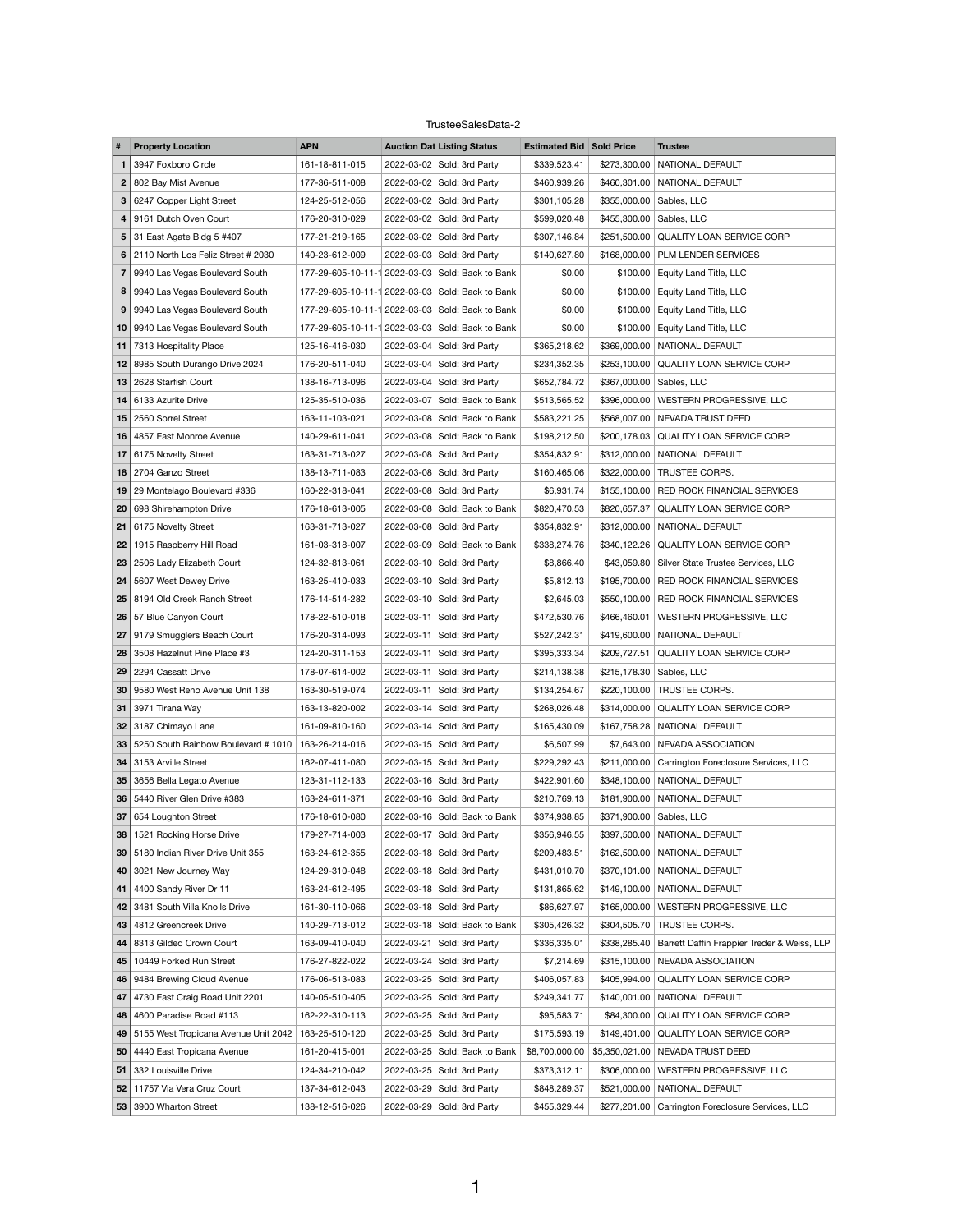## TrusteeSalesData-2

|    | <b>Property Location</b>                  | <b>APN</b>                                       | <b>Auction Dat Listing Status</b> | <b>Estimated Bid Sold Price</b> |              | <b>Trustee</b>                                             |
|----|-------------------------------------------|--------------------------------------------------|-----------------------------------|---------------------------------|--------------|------------------------------------------------------------|
|    | 3947 Foxboro Circle                       | 161-18-811-015                                   | 2022-03-02 Sold: 3rd Party        | \$339,523.41                    |              | \$273,300.00   NATIONAL DEFAULT                            |
| 2  | 802 Bay Mist Avenue                       | 177-36-511-008                                   | 2022-03-02 Sold: 3rd Party        | \$460,939.26                    |              | \$460,301.00 NATIONAL DEFAULT                              |
| 3  | 6247 Copper Light Street                  | 124-25-512-056                                   | 2022-03-02 Sold: 3rd Party        | \$301,105.28                    |              | \$355,000.00 Sables, LLC                                   |
| 4  | 9161 Dutch Oven Court                     | 176-20-310-029                                   | 2022-03-02 Sold: 3rd Party        | \$599,020.48                    |              | \$455,300.00 Sables, LLC                                   |
| 5  | 31 East Agate Bldg 5 #407                 | 177-21-219-165                                   | 2022-03-02 Sold: 3rd Party        | \$307,146.84                    |              | \$251,500.00 QUALITY LOAN SERVICE CORP                     |
| 6  | 2110 North Los Feliz Street # 2030        | 140-23-612-009                                   | 2022-03-03 Sold: 3rd Party        | \$140,627.80                    |              | \$168,000.00 PLM LENDER SERVICES                           |
| 7  | 9940 Las Vegas Boulevard South            | 177-29-605-10-11-1 2022-03-03 Sold: Back to Bank |                                   | \$0.00                          |              | \$100.00 Equity Land Title, LLC                            |
| 8  | 9940 Las Vegas Boulevard South            | 177-29-605-10-11-1 2022-03-03 Sold: Back to Bank |                                   | \$0.00                          | \$100.00     | <b>Equity Land Title, LLC</b>                              |
| 9  | 9940 Las Vegas Boulevard South            | 177-29-605-10-11-1 2022-03-03 Sold: Back to Bank |                                   | \$0.00                          | \$100.00     | <b>Equity Land Title, LLC</b>                              |
|    | 10 9940 Las Vegas Boulevard South         | 177-29-605-10-11-1 2022-03-03 Sold: Back to Bank |                                   | \$0.00                          |              | \$100.00 Equity Land Title, LLC                            |
| 11 | 7313 Hospitality Place                    | 125-16-416-030                                   | 2022-03-04 Sold: 3rd Party        | \$365,218.62                    |              | \$369,000.00 NATIONAL DEFAULT                              |
| 12 | 8985 South Durango Drive 2024             | 176-20-511-040                                   | 2022-03-04 Sold: 3rd Party        | \$234,352.35                    |              | \$253,100.00 QUALITY LOAN SERVICE CORP                     |
|    | 13 2628 Starfish Court                    | 138-16-713-096                                   | 2022-03-04 Sold: 3rd Party        | \$652,784.72                    |              | \$367,000.00 Sables, LLC                                   |
| 14 | 6133 Azurite Drive                        | 125-35-510-036                                   | 2022-03-07 Sold: Back to Bank     | \$513,565.52                    |              | \$396,000.00   WESTERN PROGRESSIVE, LLC                    |
| 15 | 2560 Sorrel Street                        | 163-11-103-021                                   | 2022-03-08 Sold: Back to Bank     | \$583,221.25                    |              | \$568,007.00 NEVADA TRUST DEED                             |
| 16 | 4857 East Monroe Avenue                   | 140-29-611-041                                   | 2022-03-08 Sold: Back to Bank     | \$198,212.50                    |              | \$200,178.03 QUALITY LOAN SERVICE CORP                     |
| 17 | 6175 Novelty Street                       | 163-31-713-027                                   | 2022-03-08 Sold: 3rd Party        | \$354,832.91                    |              | \$312,000.00 NATIONAL DEFAULT                              |
|    | 18 2704 Ganzo Street                      | 138-13-711-083                                   | 2022-03-08 Sold: 3rd Party        | \$160,465.06                    |              | \$322,000.00 TRUSTEE CORPS.                                |
|    | 19 29 Montelago Boulevard #336            | 160-22-318-041                                   | 2022-03-08 Sold: 3rd Party        | \$6,931.74                      |              | \$155,100.00 RED ROCK FINANCIAL SERVICES                   |
| 20 | 698 Shirehampton Drive                    | 176-18-613-005                                   | 2022-03-08 Sold: Back to Bank     | \$820,470.53                    | \$820,657.37 | <b>QUALITY LOAN SERVICE CORP</b>                           |
|    | 21   6175 Novelty Street                  | 163-31-713-027                                   | 2022-03-08 Sold: 3rd Party        | \$354,832.91                    |              | \$312,000.00 NATIONAL DEFAULT                              |
|    | 1915 Raspberry Hill Road                  | 161-03-318-007                                   | 2022-03-09 Sold: Back to Bank     | \$338,274.76                    |              | \$340,122.26 QUALITY LOAN SERVICE CORP                     |
| 23 | 2506 Lady Elizabeth Court                 | 124-32-813-061                                   | 2022-03-10 Sold: 3rd Party        | \$8,866.40                      |              | \$43,059.80 Silver State Trustee Services, LLC             |
| 24 | 5607 West Dewey Drive                     | 163-25-410-033                                   | 2022-03-10 Sold: 3rd Party        | \$5,812.13                      |              | \$195,700.00   RED ROCK FINANCIAL SERVICES                 |
|    | 25 8194 Old Creek Ranch Street            | 176-14-514-282                                   | 2022-03-10 Sold: 3rd Party        | \$2,645.03                      |              | \$550,100.00 RED ROCK FINANCIAL SERVICES                   |
|    | 26 57 Blue Canyon Court                   | 178-22-510-018                                   | 2022-03-11 Sold: 3rd Party        | \$472,530.76                    | \$466,460.01 | WESTERN PROGRESSIVE, LLC                                   |
| 27 | 9179 Smugglers Beach Court                | 176-20-314-093                                   | 2022-03-11 Sold: 3rd Party        | \$527,242.31                    |              | \$419,600.00 NATIONAL DEFAULT                              |
| 28 | 3508 Hazelnut Pine Place #3               | 124-20-311-153                                   | 2022-03-11 Sold: 3rd Party        | \$395,333.34                    | \$209,727.51 | <b>QUALITY LOAN SERVICE CORP</b>                           |
| 29 | 2294 Cassatt Drive                        | 178-07-614-002                                   | 2022-03-11 Sold: 3rd Party        | \$214,138.38                    |              | \$215,178.30 Sables, LLC                                   |
| 30 | 9580 West Reno Avenue Unit 138            | 163-30-519-074                                   | 2022-03-11 Sold: 3rd Party        | \$134,254.67                    |              | \$220,100.00 TRUSTEE CORPS.                                |
| 31 | 3971 Tirana Way                           | 163-13-820-002                                   | 2022-03-14 Sold: 3rd Party        | \$268,026.48                    | \$314,000.00 | <b>QUALITY LOAN SERVICE CORP</b>                           |
| 32 | 3187 Chimayo Lane                         | 161-09-810-160                                   | 2022-03-14 Sold: 3rd Party        | \$165,430.09                    |              | \$167,758.28   NATIONAL DEFAULT                            |
|    | 33 5250 South Rainbow Boulevard # 1010    | 163-26-214-016                                   | 2022-03-15 Sold: 3rd Party        | \$6,507.99                      |              | \$7,643.00 NEVADA ASSOCIATION                              |
|    | 34 3153 Arville Street                    | 162-07-411-080                                   | 2022-03-15 Sold: 3rd Party        | \$229,292.43                    | \$211,000.00 | Carrington Foreclosure Services, LLC                       |
| 35 | 3656 Bella Legato Avenue                  | 123-31-112-133                                   | 2022-03-16 Sold: 3rd Party        | \$422,901.60                    |              | \$348,100.00 NATIONAL DEFAULT                              |
|    | <b>36</b> 5440 River Glen Drive #383      | 163-24-611-371                                   | 2022-03-16 Sold: 3rd Party        | \$210,769.13                    |              | \$181,900.00 NATIONAL DEFAULT                              |
| 37 | 654 Loughton Street                       | 176-18-610-080                                   | 2022-03-16 Sold: Back to Bank     | \$374,938.85                    |              | \$371,900.00   Sables, LLC                                 |
| 38 | 1521 Rocking Horse Drive                  | 179-27-714-003                                   | 2022-03-17 Sold: 3rd Party        | \$356,946.55                    |              | \$397,500.00 NATIONAL DEFAULT                              |
|    | 39 5180 Indian River Drive Unit 355       | 163-24-612-355                                   | 2022-03-18 Sold: 3rd Party        | \$209,483.51                    |              | \$162,500.00 NATIONAL DEFAULT                              |
| 40 | 3021 New Journey Way                      | 124-29-310-048                                   | 2022-03-18 Sold: 3rd Party        | \$431,010.70                    |              | \$370,101.00 NATIONAL DEFAULT                              |
| 41 | 4400 Sandy River Dr 11                    | 163-24-612-495                                   | 2022-03-18 Sold: 3rd Party        | \$131,865.62                    |              | \$149,100.00 NATIONAL DEFAULT                              |
|    | 42 3481 South Villa Knolls Drive          | 161-30-110-066                                   | 2022-03-18 Sold: 3rd Party        | \$86,627.97                     |              | \$165,000.00   WESTERN PROGRESSIVE, LLC                    |
| 43 | 4812 Greencreek Drive                     | 140-29-713-012                                   | 2022-03-18 Sold: Back to Bank     | \$305,426.32                    | \$304,505.70 | TRUSTEE CORPS.                                             |
|    | 44 8313 Gilded Crown Court                | 163-09-410-040                                   | 2022-03-21 Sold: 3rd Party        | \$336,335.01                    |              | \$338,285.40   Barrett Daffin Frappier Treder & Weiss, LLP |
| 45 | 10449 Forked Run Street                   | 176-27-822-022                                   | 2022-03-24 Sold: 3rd Party        | \$7,214.69                      |              | \$315,100.00 NEVADA ASSOCIATION                            |
| 46 | 9484 Brewing Cloud Avenue                 | 176-06-513-083                                   | 2022-03-25 Sold: 3rd Party        | \$406,057.83                    | \$405,994.00 | QUALITY LOAN SERVICE CORP                                  |
| 47 | 4730 East Craig Road Unit 2201            | 140-05-510-405                                   | 2022-03-25 Sold: 3rd Party        | \$249,341.77                    |              | \$140,001.00 NATIONAL DEFAULT                              |
| 48 | 4600 Paradise Road #113                   | 162-22-310-113                                   | 2022-03-25 Sold: 3rd Party        | \$95,583.71                     | \$84,300.00  | <b>QUALITY LOAN SERVICE CORP</b>                           |
|    | 49   5155 West Tropicana Avenue Unit 2042 | 163-25-510-120                                   | 2022-03-25 Sold: 3rd Party        | \$175,593.19                    |              | \$149,401.00 QUALITY LOAN SERVICE CORP                     |
| 50 | 4440 East Tropicana Avenue                | 161-20-415-001                                   | 2022-03-25 Sold: Back to Bank     | \$8,700,000.00                  |              | \$5,350,021.00 NEVADA TRUST DEED                           |
| 51 | 332 Louisville Drive                      | 124-34-210-042                                   | 2022-03-25 Sold: 3rd Party        | \$373,312.11                    | \$306,000.00 | WESTERN PROGRESSIVE, LLC                                   |
| 52 | 11757 Via Vera Cruz Court                 | 137-34-612-043                                   | 2022-03-29 Sold: 3rd Party        | \$848,289.37                    |              | \$521,000.00 NATIONAL DEFAULT                              |
|    | 53 3900 Wharton Street                    | 138-12-516-026                                   | 2022-03-29 Sold: 3rd Party        | \$455,329.44                    |              | \$277,201.00 Carrington Foreclosure Services, LLC          |